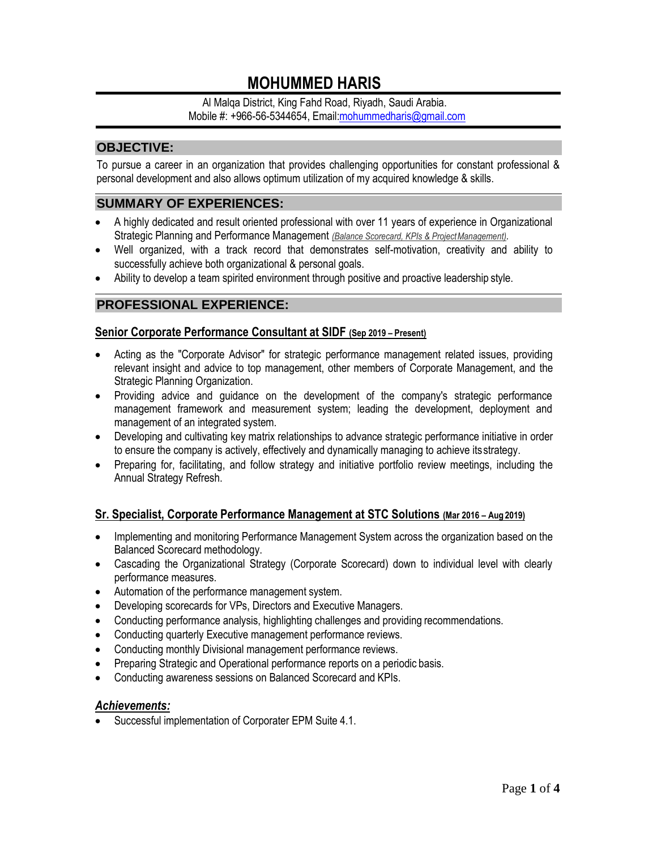# **MOHUMMED HARIS**

Al Malqa District, King Fahd Road, Riyadh, Saudi Arabia. Mobile #: +966-56-5344654, Emai[l:mohummedharis@gmail.com](mailto:mohummedharis@gmail.com)

# **OBJECTIVE:**

To pursue a career in an organization that provides challenging opportunities for constant professional & personal development and also allows optimum utilization of my acquired knowledge & skills.

## **SUMMARY OF EXPERIENCES:**

- A highly dedicated and result oriented professional with over 11 years of experience in Organizational Strategic Planning and Performance Management *(Balance Scorecard, KPIs & ProjectManagement).*
- Well organized, with a track record that demonstrates self-motivation, creativity and ability to successfully achieve both organizational & personal goals.
- Ability to develop a team spirited environment through positive and proactive leadership style.

## **PROFESSIONAL EXPERIENCE:**

#### **Senior Corporate Performance Consultant at SIDF (Sep 2019 – Present)**

- Acting as the "Corporate Advisor" for strategic performance management related issues, providing relevant insight and advice to top management, other members of Corporate Management, and the Strategic Planning Organization.
- Providing advice and guidance on the development of the company's strategic performance management framework and measurement system; leading the development, deployment and management of an integrated system.
- Developing and cultivating key matrix relationships to advance strategic performance initiative in order to ensure the company is actively, effectively and dynamically managing to achieve itsstrategy.
- Preparing for, facilitating, and follow strategy and initiative portfolio review meetings, including the Annual Strategy Refresh.

#### **Sr. Specialist, Corporate Performance Management at STC Solutions (Mar 2016 – Aug 2019)**

- Implementing and monitoring Performance Management System across the organization based on the Balanced Scorecard methodology.
- Cascading the Organizational Strategy (Corporate Scorecard) down to individual level with clearly performance measures.
- Automation of the performance management system.
- Developing scorecards for VPs, Directors and Executive Managers.
- Conducting performance analysis, highlighting challenges and providing recommendations.
- Conducting quarterly Executive management performance reviews.
- Conducting monthly Divisional management performance reviews.
- Preparing Strategic and Operational performance reports on a periodic basis.
- Conducting awareness sessions on Balanced Scorecard and KPIs.

#### *Achievements:*

• Successful implementation of Corporater EPM Suite 4.1.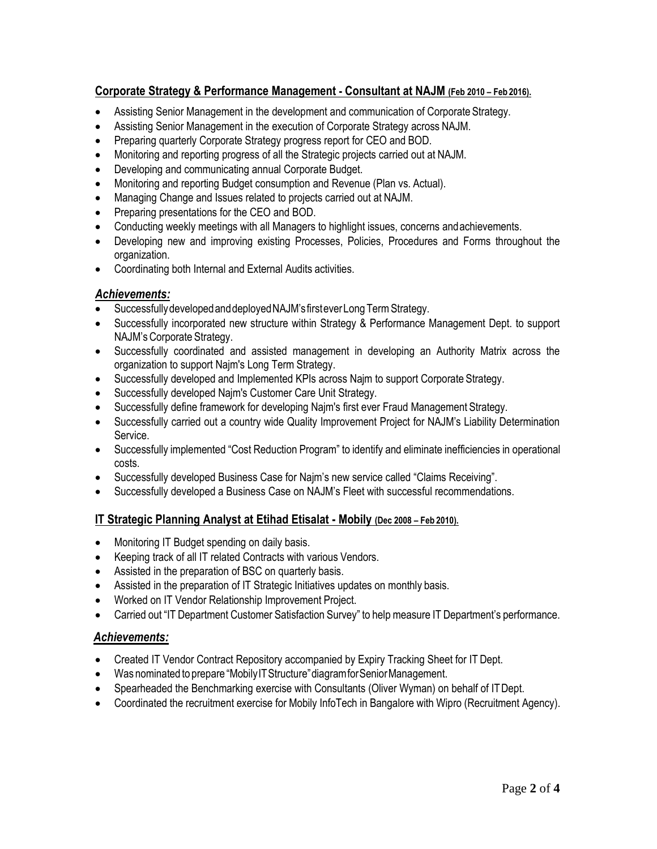# **Corporate Strategy & Performance Management - Consultant at NAJM (Feb 2010 – Feb 2016).**

- Assisting Senior Management in the development and communication of Corporate Strategy.
- Assisting Senior Management in the execution of Corporate Strategy across NAJM.
- Preparing quarterly Corporate Strategy progress report for CEO and BOD.
- Monitoring and reporting progress of all the Strategic projects carried out at NAJM.
- Developing and communicating annual Corporate Budget.
- Monitoring and reporting Budget consumption and Revenue (Plan vs. Actual).
- Managing Change and Issues related to projects carried out at NAJM.
- Preparing presentations for the CEO and BOD.
- Conducting weekly meetings with all Managers to highlight issues, concerns andachievements.
- Developing new and improving existing Processes, Policies, Procedures and Forms throughout the organization.
- Coordinating both Internal and External Audits activities.

## *Achievements:*

- Successfully developed and deployed NAJM's first ever Long Term Strategy.
- Successfully incorporated new structure within Strategy & Performance Management Dept. to support NAJM'sCorporate Strategy.
- Successfully coordinated and assisted management in developing an Authority Matrix across the organization to support Najm's Long Term Strategy.
- Successfully developed and Implemented KPIs across Najm to support Corporate Strategy.
- Successfully developed Najm's Customer Care Unit Strategy.
- Successfully define framework for developing Najm's first ever Fraud Management Strategy.
- Successfully carried out a country wide Quality Improvement Project for NAJM's Liability Determination Service.
- Successfully implemented "Cost Reduction Program" to identify and eliminate inefficiencies in operational costs.
- Successfully developed Business Case for Najm's new service called "Claims Receiving".
- Successfully developed a Business Case on NAJM's Fleet with successful recommendations.

# **IT Strategic Planning Analyst at Etihad Etisalat - Mobily (Dec 2008 – Feb 2010).**

- Monitoring IT Budget spending on daily basis.
- Keeping track of all IT related Contracts with various Vendors.
- Assisted in the preparation of BSC on quarterly basis.
- Assisted in the preparation of IT Strategic Initiatives updates on monthly basis.
- Worked on IT Vendor Relationship Improvement Project.
- Carried out "IT Department Customer Satisfaction Survey" to help measure IT Department's performance.

# *Achievements:*

- Created IT Vendor Contract Repository accompanied by Expiry Tracking Sheet for IT Dept.
- Was nominated to prepare "Mobily IT Structure" diagram for Senior Management.
- Spearheaded the Benchmarking exercise with Consultants (Oliver Wyman) on behalf of ITDept.
- Coordinated the recruitment exercise for Mobily InfoTech in Bangalore with Wipro (Recruitment Agency).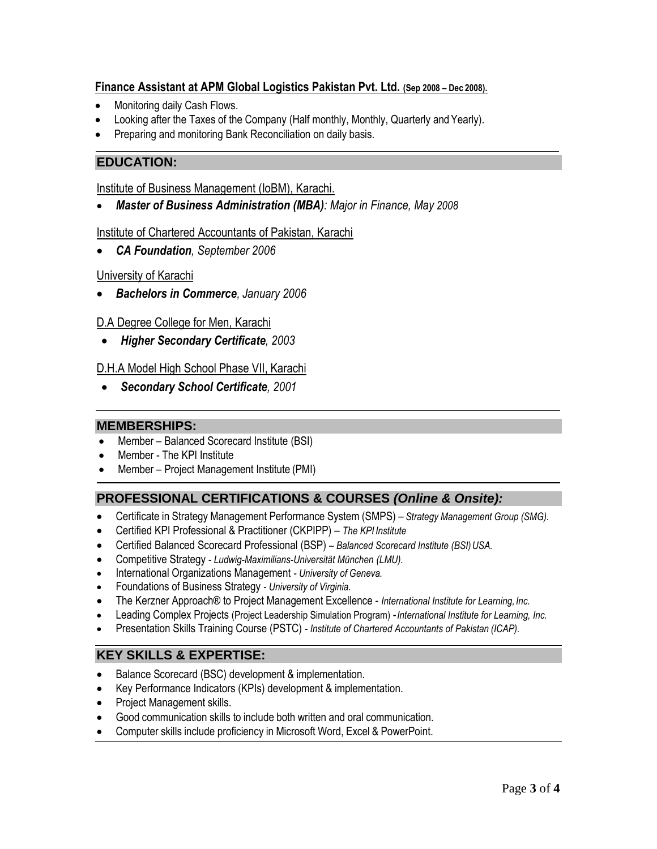## **Finance Assistant at APM Global Logistics Pakistan Pvt. Ltd. (Sep 2008 – Dec 2008).**

- Monitoring daily Cash Flows.
- Looking after the Taxes of the Company (Half monthly, Monthly, Quarterly and Yearly).
- Preparing and monitoring Bank Reconciliation on daily basis.

## **EDUCATION:**

Institute of Business Management (IoBM), Karachi.

• *Master of Business Administration (MBA): Major in Finance, May 2008*

#### Institute of Chartered Accountants of Pakistan, Karachi

• *CA Foundation, September 2006*

#### University of Karachi

• *Bachelors in Commerce, January 2006*

#### D.A Degree College for Men, Karachi

• *Higher Secondary Certificate, 2003*

#### D.H.A Model High School Phase VII, Karachi

• *Secondary School Certificate, 2001*

#### **MEMBERSHIPS:**

- Member Balanced Scorecard Institute (BSI)
- Member The KPI Institute
- Member Project Management Institute (PMI)

## **PROFESSIONAL CERTIFICATIONS & COURSES** *(Online & Onsite):*

- Certificate in Strategy Management Performance System (SMPS) *Strategy Management Group (SMG).*
- Certified KPI Professional & Practitioner (CKPIPP) *The KPI Institute*
- Certified Balanced Scorecard Professional (BSP) *– Balanced Scorecard Institute (BSI)USA.*
- Competitive Strategy *- [Ludwig-Maximilians-Universität München](https://www.coursera.org/lmu) (LMU).*
- International Organizations Management *- [University of](https://www.coursera.org/uva) [Geneva.](https://www.coursera.org/uva)*
- Foundations of Business Strategy *- [University of](https://www.coursera.org/uva) Virginia.*
- The Kerzner Approach® to Project Management Excellence *International Institute for Learning, Inc.*
- Leading Complex Projects (Project Leadership Simulation Program) -*International Institute for Learning, Inc.*
- Presentation Skills Training Course (PSTC) *- Institute of Chartered Accountants of Pakistan (ICAP).*

## **KEY SKILLS & EXPERTISE:**

- Balance Scorecard (BSC) development & implementation.
- Key Performance Indicators (KPIs) development & implementation.
- Project Management skills.
- Good communication skills to include both written and oral communication.
- Computer skills include proficiency in Microsoft Word, Excel & PowerPoint.